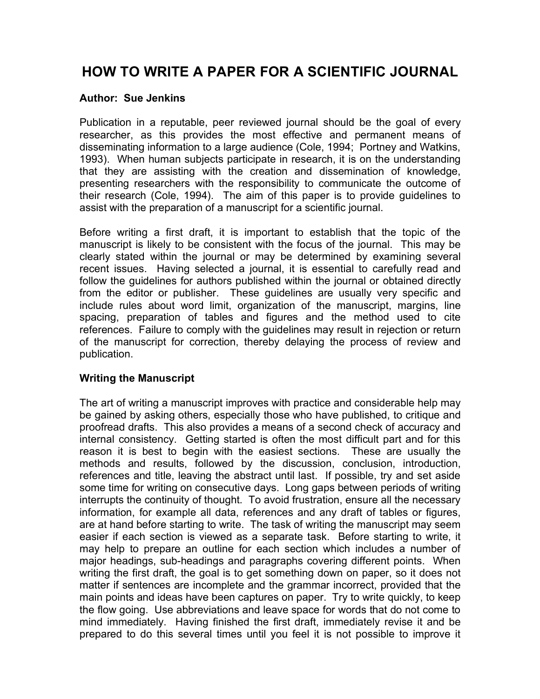# **HOW TO WRITE A PAPER FOR A SCIENTIFIC JOURNAL**

#### **Author: Sue Jenkins**

Publication in a reputable, peer reviewed journal should be the goal of every researcher, as this provides the most effective and permanent means of disseminating information to a large audience (Cole, 1994; Portney and Watkins, 1993). When human subjects participate in research, it is on the understanding that they are assisting with the creation and dissemination of knowledge, presenting researchers with the responsibility to communicate the outcome of their research (Cole, 1994). The aim of this paper is to provide guidelines to assist with the preparation of a manuscript for a scientific journal.

Before writing a first draft, it is important to establish that the topic of the manuscript is likely to be consistent with the focus of the journal. This may be clearly stated within the journal or may be determined by examining several recent issues. Having selected a journal, it is essential to carefully read and follow the guidelines for authors published within the journal or obtained directly from the editor or publisher. These guidelines are usually very specific and include rules about word limit, organization of the manuscript, margins, line spacing, preparation of tables and figures and the method used to cite references. Failure to comply with the guidelines may result in rejection or return of the manuscript for correction, thereby delaying the process of review and publication.

#### **Writing the Manuscript**

The art of writing a manuscript improves with practice and considerable help may be gained by asking others, especially those who have published, to critique and proofread drafts. This also provides a means of a second check of accuracy and internal consistency. Getting started is often the most difficult part and for this reason it is best to begin with the easiest sections. These are usually the methods and results, followed by the discussion, conclusion, introduction, references and title, leaving the abstract until last. If possible, try and set aside some time for writing on consecutive days. Long gaps between periods of writing interrupts the continuity of thought. To avoid frustration, ensure all the necessary information, for example all data, references and any draft of tables or figures, are at hand before starting to write. The task of writing the manuscript may seem easier if each section is viewed as a separate task. Before starting to write, it may help to prepare an outline for each section which includes a number of major headings, sub-headings and paragraphs covering different points. When writing the first draft, the goal is to get something down on paper, so it does not matter if sentences are incomplete and the grammar incorrect, provided that the main points and ideas have been captures on paper. Try to write quickly, to keep the flow going. Use abbreviations and leave space for words that do not come to mind immediately. Having finished the first draft, immediately revise it and be prepared to do this several times until you feel it is not possible to improve it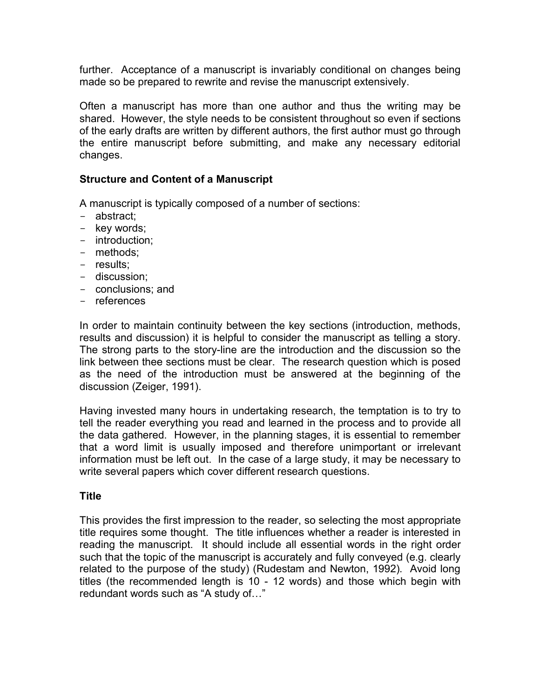further. Acceptance of a manuscript is invariably conditional on changes being made so be prepared to rewrite and revise the manuscript extensively.

Often a manuscript has more than one author and thus the writing may be shared. However, the style needs to be consistent throughout so even if sections of the early drafts are written by different authors, the first author must go through the entire manuscript before submitting, and make any necessary editorial changes.

#### **Structure and Content of a Manuscript**

A manuscript is typically composed of a number of sections:

- abstract;
- key words;
- introduction;
- methods;
- results;
- discussion;
- conclusions; and
- references

In order to maintain continuity between the key sections (introduction, methods, results and discussion) it is helpful to consider the manuscript as telling a story. The strong parts to the story-line are the introduction and the discussion so the link between thee sections must be clear. The research question which is posed as the need of the introduction must be answered at the beginning of the discussion (Zeiger, 1991).

Having invested many hours in undertaking research, the temptation is to try to tell the reader everything you read and learned in the process and to provide all the data gathered. However, in the planning stages, it is essential to remember that a word limit is usually imposed and therefore unimportant or irrelevant information must be left out. In the case of a large study, it may be necessary to write several papers which cover different research questions.

# **Title**

This provides the first impression to the reader, so selecting the most appropriate title requires some thought. The title influences whether a reader is interested in reading the manuscript. It should include all essential words in the right order such that the topic of the manuscript is accurately and fully conveyed (e.g. clearly related to the purpose of the study) (Rudestam and Newton, 1992). Avoid long titles (the recommended length is 10 - 12 words) and those which begin with redundant words such as "A study of…"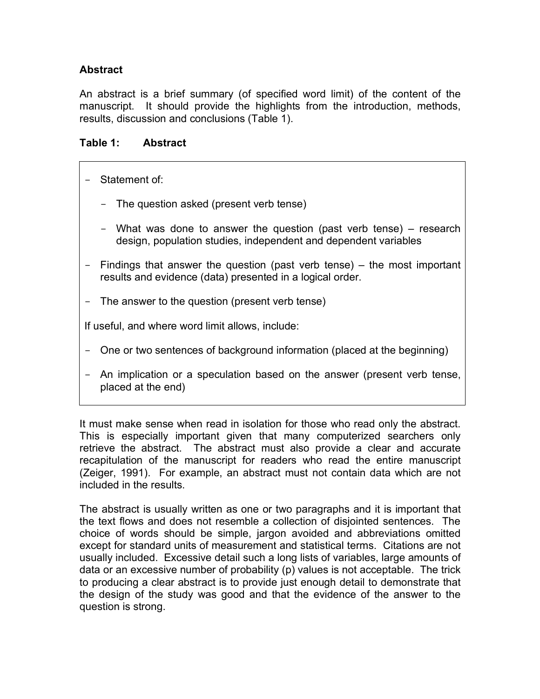# **Abstract**

An abstract is a brief summary (of specified word limit) of the content of the manuscript. It should provide the highlights from the introduction, methods, results, discussion and conclusions (Table 1).

## **Table 1: Abstract**

- Statement of:
	- The question asked (present verb tense)
	- What was done to answer the question (past verb tense) research design, population studies, independent and dependent variables
- Findings that answer the question (past verb tense) the most important results and evidence (data) presented in a logical order.
- The answer to the question (present verb tense)

If useful, and where word limit allows, include:

- One or two sentences of background information (placed at the beginning)
- An implication or a speculation based on the answer (present verb tense, placed at the end)

It must make sense when read in isolation for those who read only the abstract. This is especially important given that many computerized searchers only retrieve the abstract. The abstract must also provide a clear and accurate recapitulation of the manuscript for readers who read the entire manuscript (Zeiger, 1991). For example, an abstract must not contain data which are not included in the results.

The abstract is usually written as one or two paragraphs and it is important that the text flows and does not resemble a collection of disjointed sentences. The choice of words should be simple, jargon avoided and abbreviations omitted except for standard units of measurement and statistical terms. Citations are not usually included. Excessive detail such a long lists of variables, large amounts of data or an excessive number of probability (p) values is not acceptable. The trick to producing a clear abstract is to provide just enough detail to demonstrate that the design of the study was good and that the evidence of the answer to the question is strong.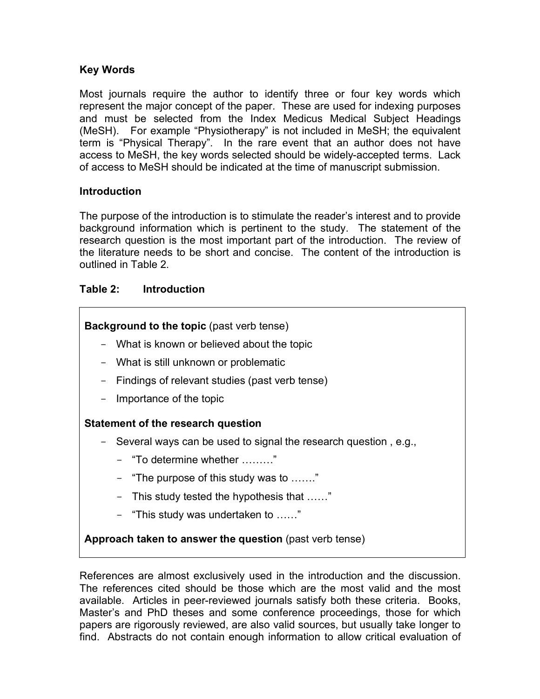# **Key Words**

Most journals require the author to identify three or four key words which represent the major concept of the paper. These are used for indexing purposes and must be selected from the Index Medicus Medical Subject Headings (MeSH). For example "Physiotherapy" is not included in MeSH; the equivalent term is "Physical Therapy". In the rare event that an author does not have access to MeSH, the key words selected should be widely-accepted terms. Lack of access to MeSH should be indicated at the time of manuscript submission.

### **Introduction**

The purpose of the introduction is to stimulate the reader's interest and to provide background information which is pertinent to the study. The statement of the research question is the most important part of the introduction. The review of the literature needs to be short and concise. The content of the introduction is outlined in Table 2.

# **Table 2: Introduction**

**Background to the topic** (past verb tense)

- What is known or believed about the topic
- What is still unknown or problematic
- Findings of relevant studies (past verb tense)
- Importance of the topic

#### **Statement of the research question**

- Several ways can be used to signal the research question , e.g.,
	- "To determine whether ………"
	- "The purpose of this study was to ……."
	- This study tested the hypothesis that ……"
	- "This study was undertaken to ……"

**Approach taken to answer the question** (past verb tense)

References are almost exclusively used in the introduction and the discussion. The references cited should be those which are the most valid and the most available. Articles in peer-reviewed journals satisfy both these criteria. Books, Master's and PhD theses and some conference proceedings, those for which papers are rigorously reviewed, are also valid sources, but usually take longer to find. Abstracts do not contain enough information to allow critical evaluation of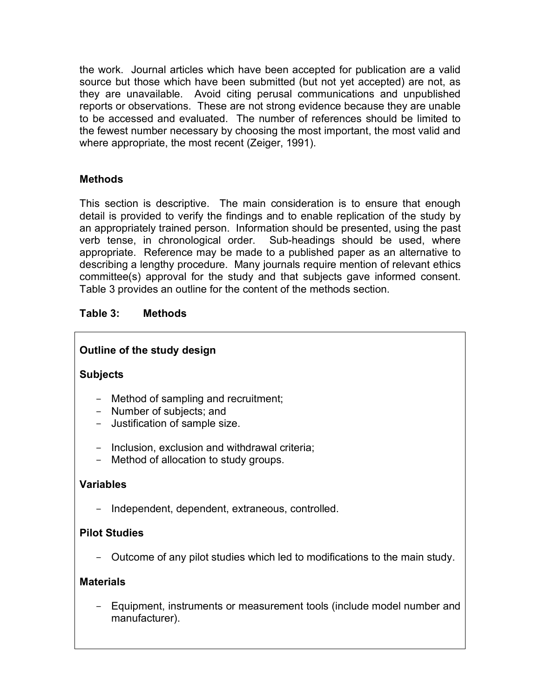the work. Journal articles which have been accepted for publication are a valid source but those which have been submitted (but not yet accepted) are not, as they are unavailable. Avoid citing perusal communications and unpublished reports or observations. These are not strong evidence because they are unable to be accessed and evaluated. The number of references should be limited to the fewest number necessary by choosing the most important, the most valid and where appropriate, the most recent (Zeiger, 1991).

# **Methods**

This section is descriptive. The main consideration is to ensure that enough detail is provided to verify the findings and to enable replication of the study by an appropriately trained person. Information should be presented, using the past verb tense, in chronological order. Sub-headings should be used, where appropriate. Reference may be made to a published paper as an alternative to describing a lengthy procedure. Many journals require mention of relevant ethics committee(s) approval for the study and that subjects gave informed consent. Table 3 provides an outline for the content of the methods section.

# **Table 3: Methods**

# **Outline of the study design**

# **Subjects**

- Method of sampling and recruitment;
- Number of subjects; and
- Justification of sample size.
- Inclusion, exclusion and withdrawal criteria;
- Method of allocation to study groups.

# **Variables**

- Independent, dependent, extraneous, controlled.

# **Pilot Studies**

- Outcome of any pilot studies which led to modifications to the main study.

#### **Materials**

- Equipment, instruments or measurement tools (include model number and manufacturer).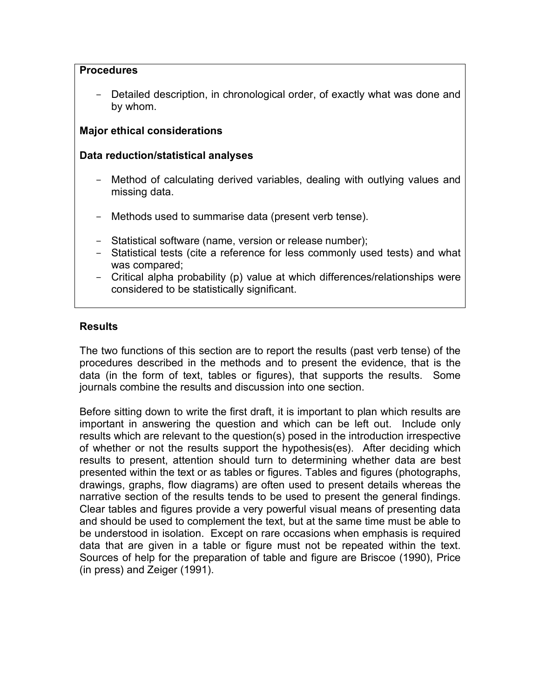#### **Procedures**

- Detailed description, in chronological order, of exactly what was done and by whom.

# **Major ethical considerations**

#### **Data reduction/statistical analyses**

- Method of calculating derived variables, dealing with outlying values and missing data.
- Methods used to summarise data (present verb tense).
- Statistical software (name, version or release number);
- Statistical tests (cite a reference for less commonly used tests) and what was compared;
- Critical alpha probability (p) value at which differences/relationships were considered to be statistically significant.

### **Results**

The two functions of this section are to report the results (past verb tense) of the procedures described in the methods and to present the evidence, that is the data (in the form of text, tables or figures), that supports the results. Some journals combine the results and discussion into one section.

Before sitting down to write the first draft, it is important to plan which results are important in answering the question and which can be left out. Include only results which are relevant to the question(s) posed in the introduction irrespective of whether or not the results support the hypothesis(es). After deciding which results to present, attention should turn to determining whether data are best presented within the text or as tables or figures. Tables and figures (photographs, drawings, graphs, flow diagrams) are often used to present details whereas the narrative section of the results tends to be used to present the general findings. Clear tables and figures provide a very powerful visual means of presenting data and should be used to complement the text, but at the same time must be able to be understood in isolation. Except on rare occasions when emphasis is required data that are given in a table or figure must not be repeated within the text. Sources of help for the preparation of table and figure are Briscoe (1990), Price (in press) and Zeiger (1991).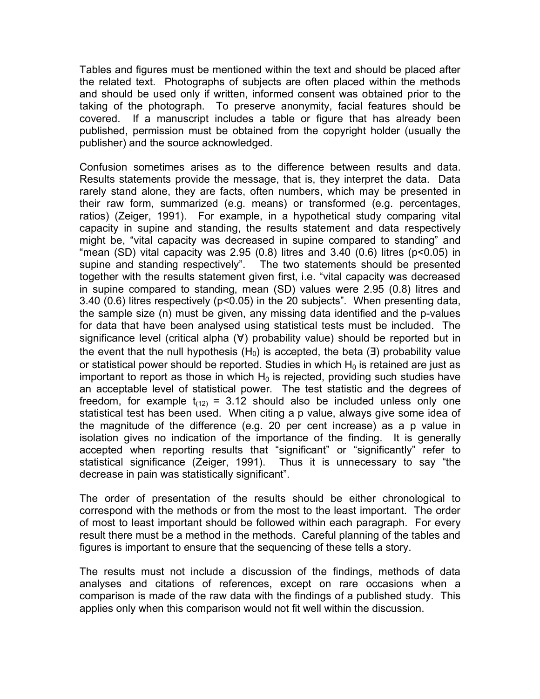Tables and figures must be mentioned within the text and should be placed after the related text. Photographs of subjects are often placed within the methods and should be used only if written, informed consent was obtained prior to the taking of the photograph. To preserve anonymity, facial features should be covered. If a manuscript includes a table or figure that has already been published, permission must be obtained from the copyright holder (usually the publisher) and the source acknowledged.

Confusion sometimes arises as to the difference between results and data. Results statements provide the message, that is, they interpret the data. Data rarely stand alone, they are facts, often numbers, which may be presented in their raw form, summarized (e.g. means) or transformed (e.g. percentages, ratios) (Zeiger, 1991). For example, in a hypothetical study comparing vital capacity in supine and standing, the results statement and data respectively might be, "vital capacity was decreased in supine compared to standing" and "mean (SD) vital capacity was 2.95 (0.8) litres and 3.40 (0.6) litres ( $p$ <0.05) in supine and standing respectively". The two statements should be presented together with the results statement given first, i.e. "vital capacity was decreased in supine compared to standing, mean (SD) values were 2.95 (0.8) litres and 3.40 (0.6) litres respectively (p<0.05) in the 20 subjects". When presenting data, the sample size (n) must be given, any missing data identified and the p-values for data that have been analysed using statistical tests must be included. The significance level (critical alpha (∀) probability value) should be reported but in the event that the null hypothesis (H<sub>0</sub>) is accepted, the beta ( $\exists$ ) probability value or statistical power should be reported. Studies in which  $H_0$  is retained are just as important to report as those in which  $H_0$  is rejected, providing such studies have an acceptable level of statistical power. The test statistic and the degrees of freedom, for example  $t_{(12)} = 3.12$  should also be included unless only one statistical test has been used. When citing a p value, always give some idea of the magnitude of the difference (e.g. 20 per cent increase) as a p value in isolation gives no indication of the importance of the finding. It is generally accepted when reporting results that "significant" or "significantly" refer to statistical significance (Zeiger, 1991). Thus it is unnecessary to say "the decrease in pain was statistically significant".

The order of presentation of the results should be either chronological to correspond with the methods or from the most to the least important. The order of most to least important should be followed within each paragraph. For every result there must be a method in the methods. Careful planning of the tables and figures is important to ensure that the sequencing of these tells a story.

The results must not include a discussion of the findings, methods of data analyses and citations of references, except on rare occasions when a comparison is made of the raw data with the findings of a published study. This applies only when this comparison would not fit well within the discussion.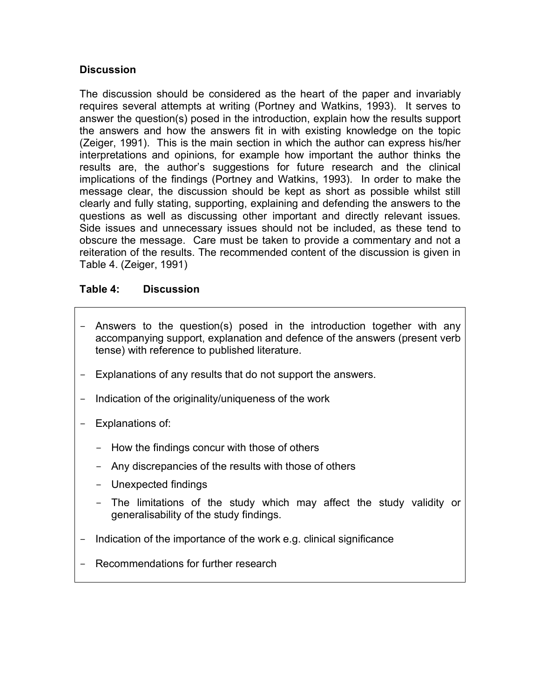# **Discussion**

The discussion should be considered as the heart of the paper and invariably requires several attempts at writing (Portney and Watkins, 1993). It serves to answer the question(s) posed in the introduction, explain how the results support the answers and how the answers fit in with existing knowledge on the topic (Zeiger, 1991). This is the main section in which the author can express his/her interpretations and opinions, for example how important the author thinks the results are, the author's suggestions for future research and the clinical implications of the findings (Portney and Watkins, 1993). In order to make the message clear, the discussion should be kept as short as possible whilst still clearly and fully stating, supporting, explaining and defending the answers to the questions as well as discussing other important and directly relevant issues. Side issues and unnecessary issues should not be included, as these tend to obscure the message. Care must be taken to provide a commentary and not a reiteration of the results. The recommended content of the discussion is given in Table 4. (Zeiger, 1991)

### **Table 4: Discussion**

- Answers to the question(s) posed in the introduction together with any accompanying support, explanation and defence of the answers (present verb tense) with reference to published literature.
- Explanations of any results that do not support the answers.
- Indication of the originality/uniqueness of the work
- Explanations of:
	- How the findings concur with those of others
	- Any discrepancies of the results with those of others
	- Unexpected findings
	- The limitations of the study which may affect the study validity or generalisability of the study findings.
- Indication of the importance of the work e.g. clinical significance
- Recommendations for further research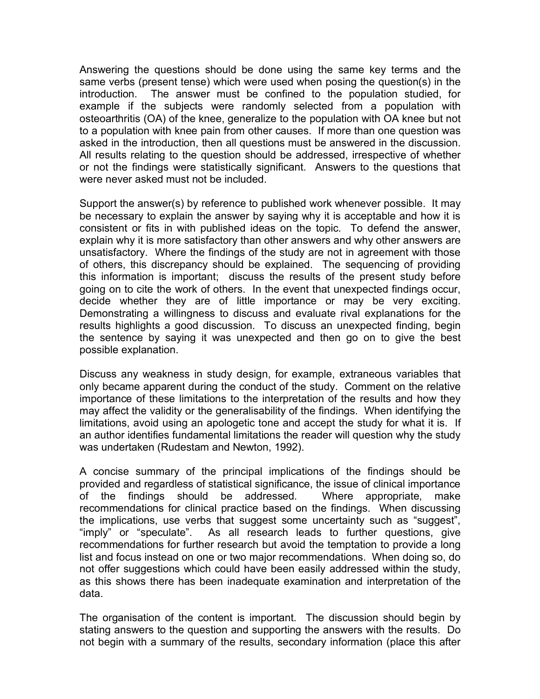Answering the questions should be done using the same key terms and the same verbs (present tense) which were used when posing the question(s) in the introduction. The answer must be confined to the population studied, for example if the subjects were randomly selected from a population with osteoarthritis (OA) of the knee, generalize to the population with OA knee but not to a population with knee pain from other causes. If more than one question was asked in the introduction, then all questions must be answered in the discussion. All results relating to the question should be addressed, irrespective of whether or not the findings were statistically significant. Answers to the questions that were never asked must not be included.

Support the answer(s) by reference to published work whenever possible. It may be necessary to explain the answer by saying why it is acceptable and how it is consistent or fits in with published ideas on the topic. To defend the answer, explain why it is more satisfactory than other answers and why other answers are unsatisfactory. Where the findings of the study are not in agreement with those of others, this discrepancy should be explained. The sequencing of providing this information is important; discuss the results of the present study before going on to cite the work of others. In the event that unexpected findings occur, decide whether they are of little importance or may be very exciting. Demonstrating a willingness to discuss and evaluate rival explanations for the results highlights a good discussion. To discuss an unexpected finding, begin the sentence by saying it was unexpected and then go on to give the best possible explanation.

Discuss any weakness in study design, for example, extraneous variables that only became apparent during the conduct of the study. Comment on the relative importance of these limitations to the interpretation of the results and how they may affect the validity or the generalisability of the findings. When identifying the limitations, avoid using an apologetic tone and accept the study for what it is. If an author identifies fundamental limitations the reader will question why the study was undertaken (Rudestam and Newton, 1992).

A concise summary of the principal implications of the findings should be provided and regardless of statistical significance, the issue of clinical importance of the findings should be addressed. Where appropriate, make recommendations for clinical practice based on the findings. When discussing the implications, use verbs that suggest some uncertainty such as "suggest", "imply" or "speculate". As all research leads to further questions, give recommendations for further research but avoid the temptation to provide a long list and focus instead on one or two major recommendations. When doing so, do not offer suggestions which could have been easily addressed within the study, as this shows there has been inadequate examination and interpretation of the data.

The organisation of the content is important. The discussion should begin by stating answers to the question and supporting the answers with the results. Do not begin with a summary of the results, secondary information (place this after